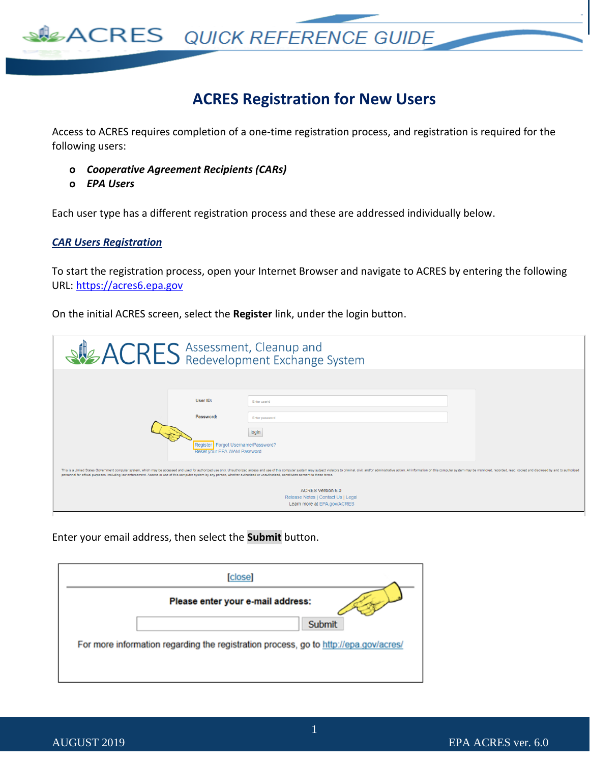

### **ACRES Registration for New Users**

Access to ACRES requires completion of a one-time registration process, and registration is required for the following users:

- **o** *Cooperative Agreement Recipients (CARs)*
- **o** *EPA Users*

Each user type has a different registration process and these are addressed individually below.

#### *CAR Users Registration*

To start the registration process, open your Internet Browser and navigate to ACRES by entering the following URL: [https://acres6.epa.gov](https://acres6.epa.gov/)

On the initial ACRES screen, select the **Register** link, under the login button.

|                                                                                                                                                                                                                   | <b>ACRES</b> Assessment, Cleanup and System                                                                                                                                                                                                                                                                                                                                                                                                     |
|-------------------------------------------------------------------------------------------------------------------------------------------------------------------------------------------------------------------|-------------------------------------------------------------------------------------------------------------------------------------------------------------------------------------------------------------------------------------------------------------------------------------------------------------------------------------------------------------------------------------------------------------------------------------------------|
| User ID:<br>Password:<br>personnel for official purposes, including law enforcement. Access or use of this computer system by any person, whether authorized or unauthorized, constitutes consent to these terms. | Enter userid<br>Enter password<br>login<br>Register Forgot Username/Password?<br>Reset your EPA WAM Password<br>This is a United States Government computer system, which may be accessed and used for authorized use only. Unauthorized access and use of this computer system may subject violators to criminal, civil, and/or administrativ<br><b>ACRES Version 6.0</b><br>Release Notes   Contact Us   Legal<br>Learn more at EPA.gov/ACRES |

Enter your email address, then select the **Submit** button.

| [close]                                                                              |  |
|--------------------------------------------------------------------------------------|--|
| Please enter your e-mail address:                                                    |  |
| Submit                                                                               |  |
| For more information regarding the registration process, go to http://epa.gov/acres/ |  |
|                                                                                      |  |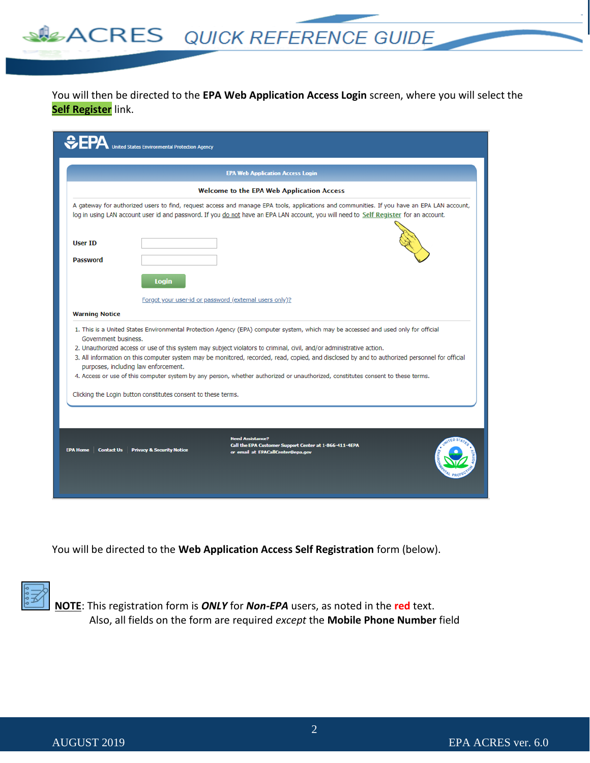You will then be directed to the **EPA Web Application Access Login** screen, where you will select the **Self Register** link.

**ACRES** QUICK REFERENCE GUIDE

|                                   | <b>EPA Web Application Access Login</b>                                                                                                                                                                                                                                                                                                                                                                                                                                                                                                                                                 |
|-----------------------------------|-----------------------------------------------------------------------------------------------------------------------------------------------------------------------------------------------------------------------------------------------------------------------------------------------------------------------------------------------------------------------------------------------------------------------------------------------------------------------------------------------------------------------------------------------------------------------------------------|
|                                   | <b>Welcome to the EPA Web Application Access</b>                                                                                                                                                                                                                                                                                                                                                                                                                                                                                                                                        |
|                                   | A gateway for authorized users to find, request access and manage EPA tools, applications and communities. If you have an EPA LAN account,<br>log in using LAN account user id and password. If you do not have an EPA LAN account, you will need to Self Register for an account.                                                                                                                                                                                                                                                                                                      |
| <b>User ID</b><br><b>Password</b> |                                                                                                                                                                                                                                                                                                                                                                                                                                                                                                                                                                                         |
|                                   | Login                                                                                                                                                                                                                                                                                                                                                                                                                                                                                                                                                                                   |
|                                   | Forgot your user-id or password (external users only)?                                                                                                                                                                                                                                                                                                                                                                                                                                                                                                                                  |
| <b>Warning Notice</b>             |                                                                                                                                                                                                                                                                                                                                                                                                                                                                                                                                                                                         |
| Government business.              | 1. This is a United States Environmental Protection Agency (EPA) computer system, which may be accessed and used only for official<br>2. Unauthorized access or use of this system may subject violators to criminal, civil, and/or administrative action.<br>3. All information on this computer system may be monitored, recorded, read, copied, and disclosed by and to authorized personnel for official<br>purposes, including law enforcement.<br>4. Access or use of this computer system by any person, whether authorized or unauthorized, constitutes consent to these terms. |
|                                   | Clicking the Login button constitutes consent to these terms.                                                                                                                                                                                                                                                                                                                                                                                                                                                                                                                           |
|                                   |                                                                                                                                                                                                                                                                                                                                                                                                                                                                                                                                                                                         |
|                                   | <b>Need Assistance?</b><br>Call the EPA Customer Support Center at 1-866-411-4EPA<br>EPA Home   Contact Us   Privacy & Security Notice<br>or email at EPACallCenter@epa.gov                                                                                                                                                                                                                                                                                                                                                                                                             |

You will be directed to the **Web Application Access Self Registration** form (below).



**NOTE**: This registration form is *ONLY* for *Non-EPA* users, as noted in the **red** text. Also, all fields on the form are required *except* the **Mobile Phone Number** field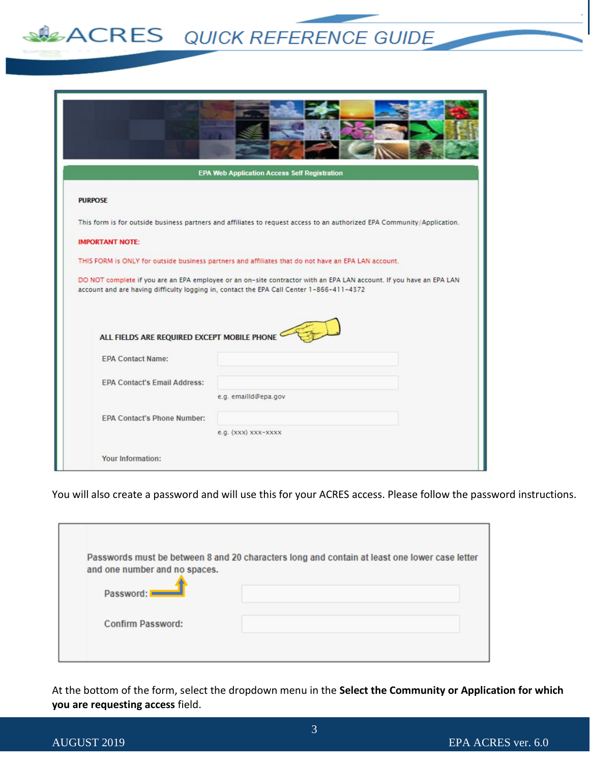# **SPEACRES** QUICK REFERENCE GUIDE

| <b>EPA Web Application Access Self Registration</b> |                                                                                                                                                                                                                 |  |
|-----------------------------------------------------|-----------------------------------------------------------------------------------------------------------------------------------------------------------------------------------------------------------------|--|
| <b>PURPOSE</b>                                      |                                                                                                                                                                                                                 |  |
|                                                     | This form is for outside business partners and affiliates to request access to an authorized EPA Community/Application.                                                                                         |  |
| <b>IMPORTANT NOTE:</b>                              |                                                                                                                                                                                                                 |  |
|                                                     | THIS FORM is ONLY for outside business partners and affiliates that do not have an EPA LAN account.                                                                                                             |  |
|                                                     | DO NOT complete if you are an EPA employee or an on-site contractor with an EPA LAN account. If you have an EPA LAN<br>account and are having difficulty logging in, contact the EPA Call Center 1-866-411-4372 |  |
| ALL FIELDS ARE REQUIRED EXCEPT MOBILE PHONE         |                                                                                                                                                                                                                 |  |
| <b>EPA Contact Name:</b>                            |                                                                                                                                                                                                                 |  |
| <b>EPA Contact's Email Address:</b>                 |                                                                                                                                                                                                                 |  |
|                                                     | e.g. emailld@epa.gov                                                                                                                                                                                            |  |
| <b>EPA Contact's Phone Number:</b>                  |                                                                                                                                                                                                                 |  |
|                                                     | e.g. (XXX) XXX-XXXX                                                                                                                                                                                             |  |
| Your Information:                                   |                                                                                                                                                                                                                 |  |

You will also create a password and will use this for your ACRES access. Please follow the password instructions.

| and one number and no spaces. | Passwords must be between 8 and 20 characters long and contain at least one lower case letter |
|-------------------------------|-----------------------------------------------------------------------------------------------|
| Password: $\blacksquare$      |                                                                                               |
| <b>Confirm Password:</b>      |                                                                                               |

At the bottom of the form, select the dropdown menu in the **Select the Community or Application for which you are requesting access** field.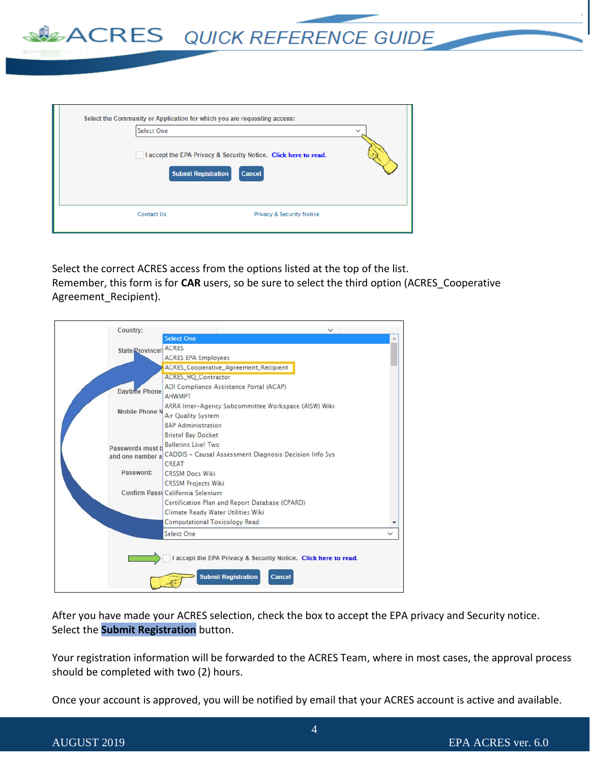**SACRES** QUICK REFERENCE GUIDE

| Select the Community or Application for which you are requesting access:<br><b>Select One</b><br>I accept the EPA Privacy & Security Notice. Click here to read.<br><b>Submit Registration</b><br><b>Cancel</b> |                                      | $\checkmark$ |
|-----------------------------------------------------------------------------------------------------------------------------------------------------------------------------------------------------------------|--------------------------------------|--------------|
| <b>Contact Us</b>                                                                                                                                                                                               | <b>Privacy &amp; Security Notice</b> |              |

Select the correct ACRES access from the options listed at the top of the list. Remember, this form is for **CAR** users, so be sure to select the third option (ACRES\_Cooperative Agreement Recipient).

| Country:              |                                                                 |              |
|-----------------------|-----------------------------------------------------------------|--------------|
|                       | <b>Select One</b>                                               |              |
| State/Province/       | <b>ACRES</b>                                                    |              |
|                       | <b>ACRES EPA Employees</b>                                      |              |
|                       | <b>ACRES_Cooperative_Agreement_Recipient</b>                    |              |
|                       | ACRES_HQ_Contractor                                             |              |
| <b>Daytime Phone</b>  | ADI Compliance Assistance Portal (ACAP)                         |              |
|                       | <b>AHWMPT</b>                                                   |              |
|                       | ARRA Inter-Agency Subcommittee Workspace (AISW) Wiki            |              |
| <b>Mobile Phone N</b> | Air Quality System                                              |              |
|                       | <b>BAP Administration</b>                                       |              |
|                       | <b>Bristol Bay Docket</b>                                       |              |
| Passwords must b      | <b>Bulletins Live! Two</b>                                      |              |
| and one number a      | CADDIS - Causal Assessment Diagnosis Decision Info Sys          |              |
|                       | CREAT                                                           |              |
| Password:             | <b>CRSSM Docs Wiki</b>                                          |              |
|                       | <b>CRSSM Projects Wiki</b>                                      |              |
|                       | Confirm Passy California Selenium                               |              |
|                       | Certification Plan and Report Database (CPARD)                  |              |
|                       | Climate Ready Water Utilities Wiki                              |              |
|                       | <b>Computational Toxicology Read</b>                            |              |
|                       | Select One                                                      | $\checkmark$ |
|                       |                                                                 |              |
|                       | I accept the EPA Privacy & Security Notice. Click here to read. |              |
|                       |                                                                 |              |
|                       | <b>Submit Registration</b><br>Cancel                            |              |
|                       |                                                                 |              |

After you have made your ACRES selection, check the box to accept the EPA privacy and Security notice. Select the **Submit Registration** button.

Your registration information will be forwarded to the ACRES Team, where in most cases, the approval process should be completed with two (2) hours.

Once your account is approved, you will be notified by email that your ACRES account is active and available.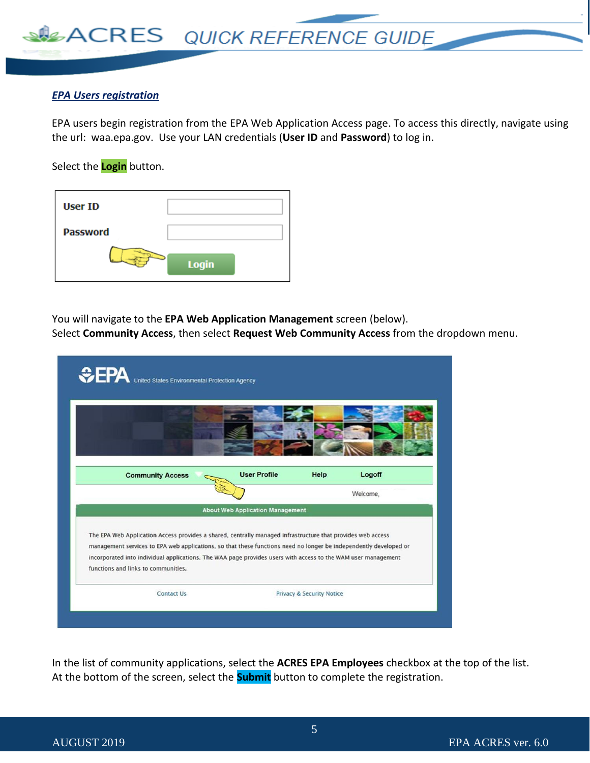

#### *EPA Users registration*

EPA users begin registration from the EPA Web Application Access page. To access this directly, navigate using the url: waa.epa.gov. Use your LAN credentials (**User ID** and **Password**) to log in.

Select the **Login** button.

| <b>User ID</b>  |              |
|-----------------|--------------|
| <b>Password</b> |              |
|                 | <b>Login</b> |

You will navigate to the **EPA Web Application Management** screen (below).

Select **Community Access**, then select **Request Web Community Access** from the dropdown menu.

| <b>CPA</b> United States Environmental Protection Agency                                                                                                                                                                                                                                                                                                                                 |                                         |                           |          |
|------------------------------------------------------------------------------------------------------------------------------------------------------------------------------------------------------------------------------------------------------------------------------------------------------------------------------------------------------------------------------------------|-----------------------------------------|---------------------------|----------|
|                                                                                                                                                                                                                                                                                                                                                                                          |                                         |                           |          |
| <b>Community Access</b>                                                                                                                                                                                                                                                                                                                                                                  | <b>User Profile</b>                     | Help                      | Logoff   |
|                                                                                                                                                                                                                                                                                                                                                                                          |                                         |                           | Welcome, |
|                                                                                                                                                                                                                                                                                                                                                                                          | <b>About Web Application Management</b> |                           |          |
| The EPA Web Application Access provides a shared, centrally managed infrastructure that provides web access<br>management services to EPA web applications, so that these functions need no longer be independently developed or<br>incorporated into individual applications. The WAA page provides users with access to the WAM user management<br>functions and links to communities. |                                         |                           |          |
| <b>Contact Us</b>                                                                                                                                                                                                                                                                                                                                                                        |                                         | Privacy & Security Notice |          |
|                                                                                                                                                                                                                                                                                                                                                                                          |                                         |                           |          |

In the list of community applications, select the **ACRES EPA Employees** checkbox at the top of the list. At the bottom of the screen, select the **Submit** button to complete the registration.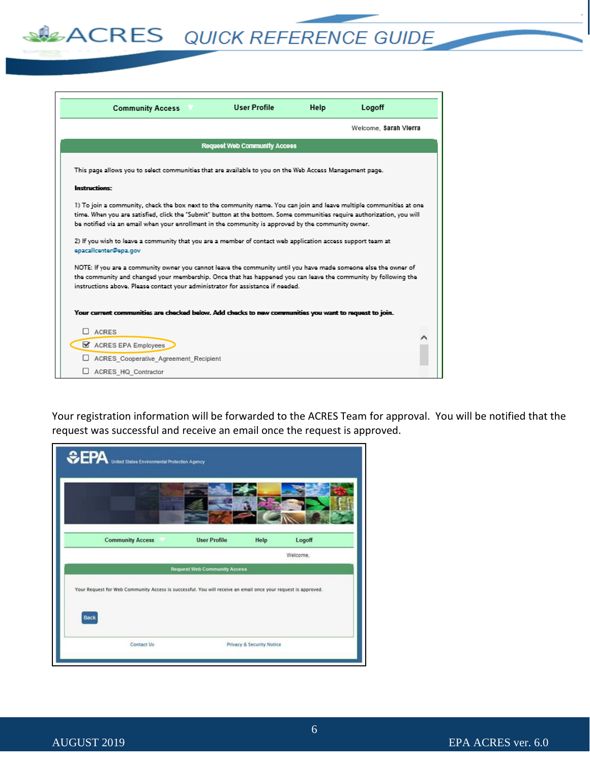# **SILACRES** QUICK REFERENCE GUIDE

| <b>Community Access</b>                                                                                                                                                                                                                                                                                                                                                                                                                                                                       | <b>User Profile</b>                 | Help | Logoff                |
|-----------------------------------------------------------------------------------------------------------------------------------------------------------------------------------------------------------------------------------------------------------------------------------------------------------------------------------------------------------------------------------------------------------------------------------------------------------------------------------------------|-------------------------------------|------|-----------------------|
|                                                                                                                                                                                                                                                                                                                                                                                                                                                                                               |                                     |      | Welcome, Sarah Vierra |
|                                                                                                                                                                                                                                                                                                                                                                                                                                                                                               | <b>Request Web Community Access</b> |      |                       |
| This page allows you to select communities that are available to you on the Web Access Management page.                                                                                                                                                                                                                                                                                                                                                                                       |                                     |      |                       |
| Instructions:                                                                                                                                                                                                                                                                                                                                                                                                                                                                                 |                                     |      |                       |
| 1) To join a community, check the box next to the community name. You can join and leave multiple communities at one<br>time. When you are satisfied, click the "Submit" button at the bottom. Some communities require authorization, you will<br>be notified via an email when your enrollment in the community is approved by the community owner.<br>2) If you wish to leave a community that you are a member of contact web application access support team at<br>epacalicenter@epa.gov |                                     |      |                       |
| NOTE: If you are a community owner you cannot leave the community until you have made someone else the owner of<br>the community and changed your membership. Once that has happened you can leave the community by following the<br>instructions above. Please contact your administrator for assistance if needed.                                                                                                                                                                          |                                     |      |                       |
| Your current communities are checked below. Add checks to new communities you want to request to join.                                                                                                                                                                                                                                                                                                                                                                                        |                                     |      |                       |
| <b>ACRES</b><br>ACRES EPA Employees                                                                                                                                                                                                                                                                                                                                                                                                                                                           |                                     |      |                       |
| ACRES Cooperative Agreement Recipient                                                                                                                                                                                                                                                                                                                                                                                                                                                         |                                     |      |                       |
| ACRES HQ Contractor                                                                                                                                                                                                                                                                                                                                                                                                                                                                           |                                     |      |                       |

Your registration information will be forwarded to the ACRES Team for approval. You will be notified that the request was successful and receive an email once the request is approved.

| <b>CEPA</b> United States Environmental Protection Agency                                                             |                                     |                           |          |
|-----------------------------------------------------------------------------------------------------------------------|-------------------------------------|---------------------------|----------|
|                                                                                                                       |                                     |                           |          |
| <b>Community Access</b>                                                                                               | <b>User Profile</b>                 | Help                      | Logoff   |
|                                                                                                                       | <b>Request Web Community Access</b> |                           | Welcome. |
| Your Request for Web Community Access is successful. You will receive an email once your request is approved.<br>Back |                                     |                           |          |
| Contact Us                                                                                                            |                                     | Privacy & Security Notice |          |